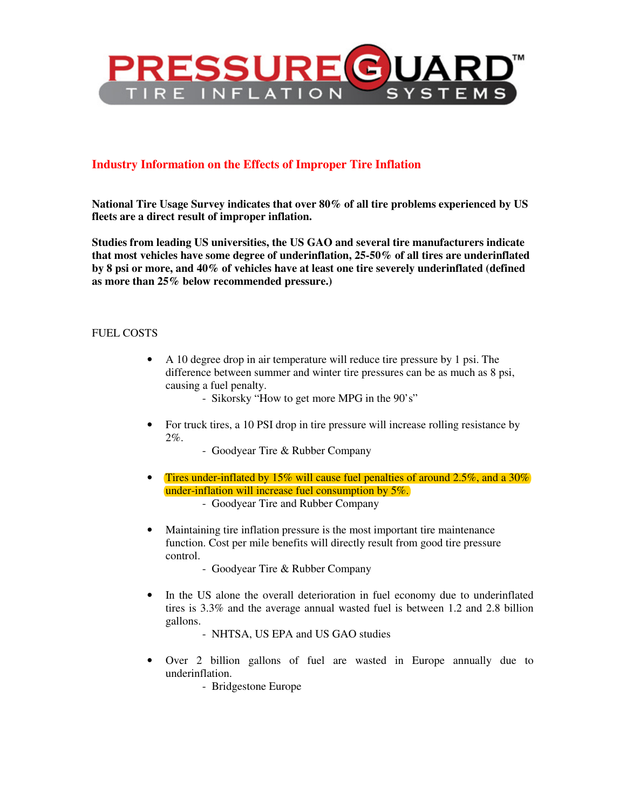

# **Industry Information on the Effects of Improper Tire Inflation**

**National Tire Usage Survey indicates that over 80% of all tire problems experienced by US fleets are a direct result of improper inflation.** 

**Studies from leading US universities, the US GAO and several tire manufacturers indicate that most vehicles have some degree of underinflation, 25-50% of all tires are underinflated by 8 psi or more, and 40% of vehicles have at least one tire severely underinflated (defined as more than 25% below recommended pressure.)** 

#### FUEL COSTS

- A 10 degree drop in air temperature will reduce tire pressure by 1 psi. The difference between summer and winter tire pressures can be as much as 8 psi, causing a fuel penalty.
	- Sikorsky "How to get more MPG in the 90's"
- For truck tires, a 10 PSI drop in tire pressure will increase rolling resistance by 2%.
	- Goodyear Tire & Rubber Company
- Tires under-inflated by 15% will cause fuel penalties of around 2.5%, and a 30% under-inflation will increase fuel consumption by 5%.
	- Goodyear Tire and Rubber Company
- Maintaining tire inflation pressure is the most important tire maintenance function. Cost per mile benefits will directly result from good tire pressure control.
	- Goodyear Tire & Rubber Company
- In the US alone the overall deterioration in fuel economy due to underinflated tires is 3.3% and the average annual wasted fuel is between 1.2 and 2.8 billion gallons.
	- NHTSA, US EPA and US GAO studies
- Over 2 billion gallons of fuel are wasted in Europe annually due to underinflation.
	- Bridgestone Europe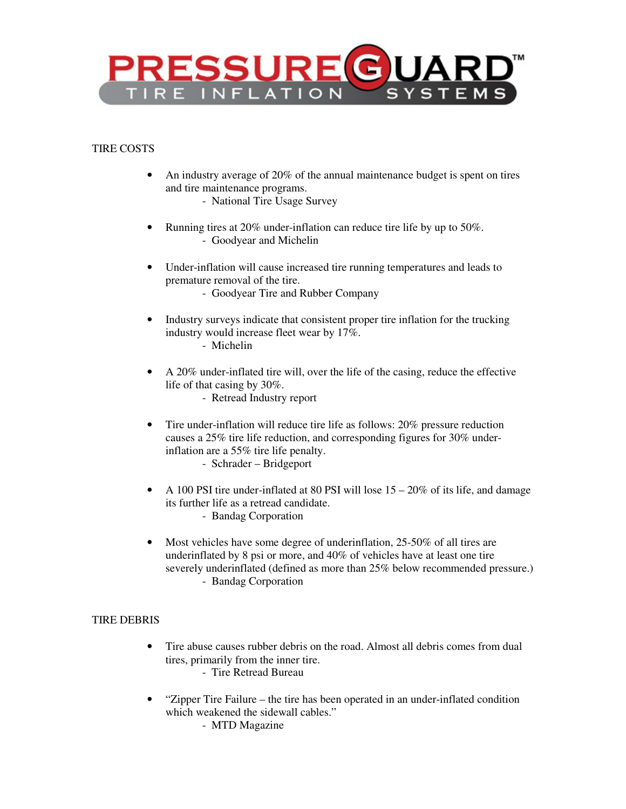

## TIRE COSTS

- An industry average of 20% of the annual maintenance budget is spent on tires and tire maintenance programs.
	- National Tire Usage Survey
- Running tires at 20% under-inflation can reduce tire life by up to 50%. - Goodyear and Michelin
- Under-inflation will cause increased tire running temperatures and leads to premature removal of the tire.
	- Goodyear Tire and Rubber Company
- Industry surveys indicate that consistent proper tire inflation for the trucking industry would increase fleet wear by 17%. - Michelin
- A 20% under-inflated tire will, over the life of the casing, reduce the effective life of that casing by 30%.
	- Retread Industry report
- Tire under-inflation will reduce tire life as follows: 20% pressure reduction causes a 25% tire life reduction, and corresponding figures for 30% underinflation are a 55% tire life penalty.
	- Schrader Bridgeport
- A 100 PSI tire under-inflated at 80 PSI will lose  $15 20\%$  of its life, and damage its further life as a retread candidate.
	- Bandag Corporation
- Most vehicles have some degree of underinflation, 25-50% of all tires are underinflated by 8 psi or more, and 40% of vehicles have at least one tire severely underinflated (defined as more than 25% below recommended pressure.) - Bandag Corporation

#### TIRE DEBRIS

- Tire abuse causes rubber debris on the road. Almost all debris comes from dual tires, primarily from the inner tire.
	- Tire Retread Bureau
- "Zipper Tire Failure the tire has been operated in an under-inflated condition which weakened the sidewall cables."
	- MTD Magazine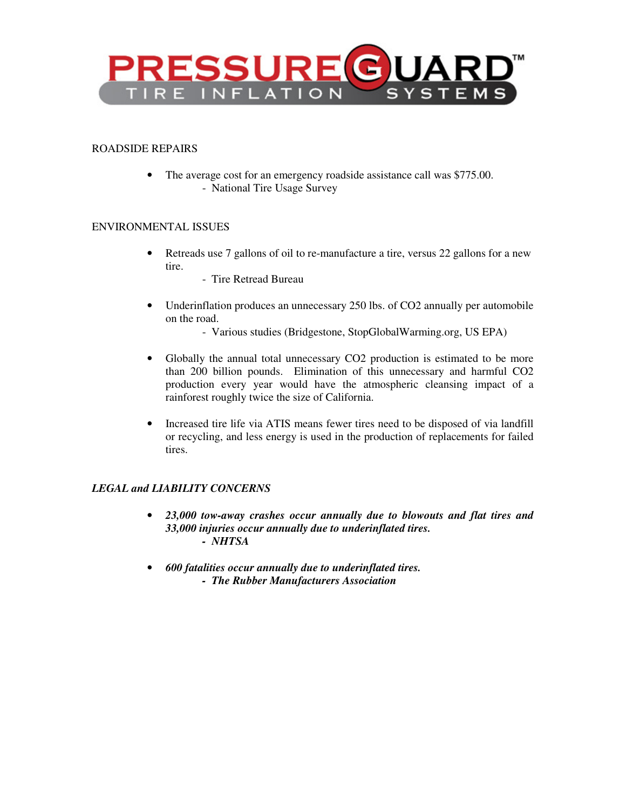

#### ROADSIDE REPAIRS

• The average cost for an emergency roadside assistance call was \$775.00. - National Tire Usage Survey

### ENVIRONMENTAL ISSUES

- Retreads use 7 gallons of oil to re-manufacture a tire, versus 22 gallons for a new tire.
	- Tire Retread Bureau
- Underinflation produces an unnecessary 250 lbs. of CO2 annually per automobile on the road.
	- Various studies (Bridgestone, StopGlobalWarming.org, US EPA)
- Globally the annual total unnecessary CO2 production is estimated to be more than 200 billion pounds. Elimination of this unnecessary and harmful CO2 production every year would have the atmospheric cleansing impact of a rainforest roughly twice the size of California.
- Increased tire life via ATIS means fewer tires need to be disposed of via landfill or recycling, and less energy is used in the production of replacements for failed tires.

## *LEGAL and LIABILITY CONCERNS*

- *23,000 tow-away crashes occur annually due to blowouts and flat tires and 33,000 injuries occur annually due to underinflated tires. - NHTSA*
- *600 fatalities occur annually due to underinflated tires. - The Rubber Manufacturers Association*